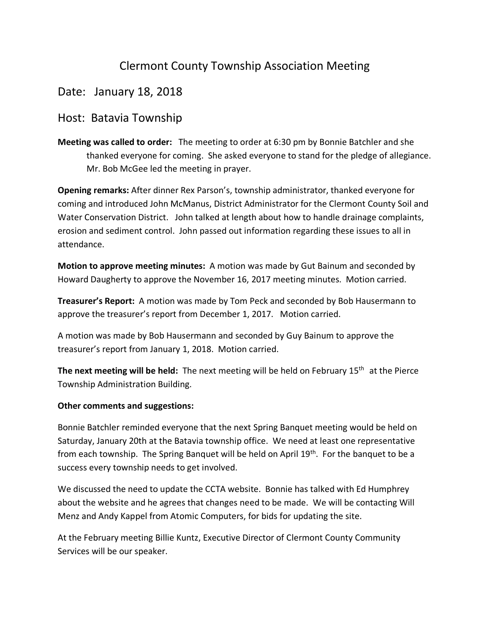## Clermont County Township Association Meeting

## Date: January 18, 2018

## Host: Batavia Township

**Meeting was called to order:** The meeting to order at 6:30 pm by Bonnie Batchler and she thanked everyone for coming. She asked everyone to stand for the pledge of allegiance. Mr. Bob McGee led the meeting in prayer.

**Opening remarks:** After dinner Rex Parson's, township administrator, thanked everyone for coming and introduced John McManus, District Administrator for the Clermont County Soil and Water Conservation District. John talked at length about how to handle drainage complaints, erosion and sediment control. John passed out information regarding these issues to all in attendance.

**Motion to approve meeting minutes:** A motion was made by Gut Bainum and seconded by Howard Daugherty to approve the November 16, 2017 meeting minutes. Motion carried.

**Treasurer's Report:** A motion was made by Tom Peck and seconded by Bob Hausermann to approve the treasurer's report from December 1, 2017. Motion carried.

A motion was made by Bob Hausermann and seconded by Guy Bainum to approve the treasurer's report from January 1, 2018. Motion carried.

**The next meeting will be held:** The next meeting will be held on February 15th at the Pierce Township Administration Building.

## **Other comments and suggestions:**

Bonnie Batchler reminded everyone that the next Spring Banquet meeting would be held on Saturday, January 20th at the Batavia township office. We need at least one representative from each township. The Spring Banquet will be held on April 19<sup>th</sup>. For the banquet to be a success every township needs to get involved.

We discussed the need to update the CCTA website. Bonnie has talked with Ed Humphrey about the website and he agrees that changes need to be made. We will be contacting Will Menz and Andy Kappel from Atomic Computers, for bids for updating the site.

At the February meeting Billie Kuntz, Executive Director of Clermont County Community Services will be our speaker.